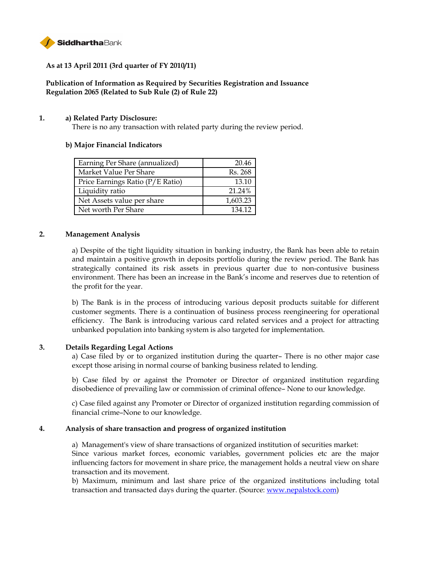

# **As at 13 April 2011 (3rd quarter of FY 2010/11)**

# **Publication of Information as Required by Securities Registration and Issuance Regulation 2065 (Related to Sub Rule (2) of Rule 22)**

#### **1. a) Related Party Disclosure:**

There is no any transaction with related party during the review period.

#### **b) Major Financial Indicators**

| Earning Per Share (annualized)   | 20.46    |
|----------------------------------|----------|
| Market Value Per Share           | Rs. 268  |
| Price Earnings Ratio (P/E Ratio) | 13.10    |
| Liquidity ratio                  | 21.24%   |
| Net Assets value per share       | 1,603.23 |
| Net worth Per Share              | 134 12   |

#### **2. Management Analysis**

a) Despite of the tight liquidity situation in banking industry, the Bank has been able to retain and maintain a positive growth in deposits portfolio during the review period. The Bank has strategically contained its risk assets in previous quarter due to non-contusive business environment. There has been an increase in the Bank's income and reserves due to retention of the profit for the year.

b) The Bank is in the process of introducing various deposit products suitable for different customer segments. There is a continuation of business process reengineering for operational efficiency. The Bank is introducing various card related services and a project for attracting unbanked population into banking system is also targeted for implementation.

### **3. Details Regarding Legal Actions**

a) Case filed by or to organized institution during the quarter– There is no other major case except those arising in normal course of banking business related to lending.

b) Case filed by or against the Promoter or Director of organized institution regarding disobedience of prevailing law or commission of criminal offence– None to our knowledge.

c) Case filed against any Promoter or Director of organized institution regarding commission of financial crime–None to our knowledge.

#### **4. Analysis of share transaction and progress of organized institution**

a)Management's view of share transactions of organized institution of securities market: Since various market forces, economic variables, government policies etc are the major influencing factors for movement in share price, the management holds a neutral view on share transaction and its movement.

b) Maximum, minimum and last share price of the organized institutions including total transaction and transacted days during the quarter. (Source: [www.nepalstock.com\)](http://www.nepalstock.com/)